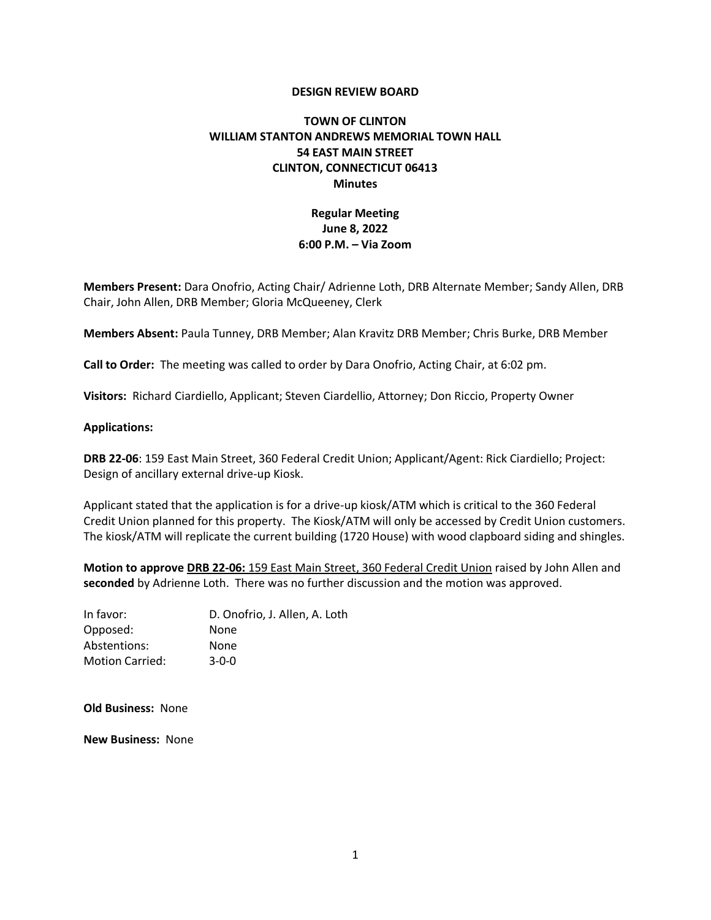### **DESIGN REVIEW BOARD**

# **TOWN OF CLINTON WILLIAM STANTON ANDREWS MEMORIAL TOWN HALL 54 EAST MAIN STREET CLINTON, CONNECTICUT 06413 Minutes**

## **Regular Meeting June 8, 2022 6:00 P.M. – Via Zoom**

**Members Present:** Dara Onofrio, Acting Chair/ Adrienne Loth, DRB Alternate Member; Sandy Allen, DRB Chair, John Allen, DRB Member; Gloria McQueeney, Clerk

**Members Absent:** Paula Tunney, DRB Member; Alan Kravitz DRB Member; Chris Burke, DRB Member

**Call to Order:** The meeting was called to order by Dara Onofrio, Acting Chair, at 6:02 pm.

**Visitors:** Richard Ciardiello, Applicant; Steven Ciardellio, Attorney; Don Riccio, Property Owner

#### **Applications:**

**DRB 22-06**: 159 East Main Street, 360 Federal Credit Union; Applicant/Agent: Rick Ciardiello; Project: Design of ancillary external drive-up Kiosk.

Applicant stated that the application is for a drive-up kiosk/ATM which is critical to the 360 Federal Credit Union planned for this property. The Kiosk/ATM will only be accessed by Credit Union customers. The kiosk/ATM will replicate the current building (1720 House) with wood clapboard siding and shingles.

**Motion to approve DRB 22-06:** 159 East Main Street, 360 Federal Credit Union raised by John Allen and **seconded** by Adrienne Loth. There was no further discussion and the motion was approved.

| In favor:              | D. Onofrio, J. Allen, A. Loth |
|------------------------|-------------------------------|
| Opposed:               | <b>None</b>                   |
| Abstentions:           | None                          |
| <b>Motion Carried:</b> | $3-0-0$                       |

**Old Business:** None

**New Business:** None